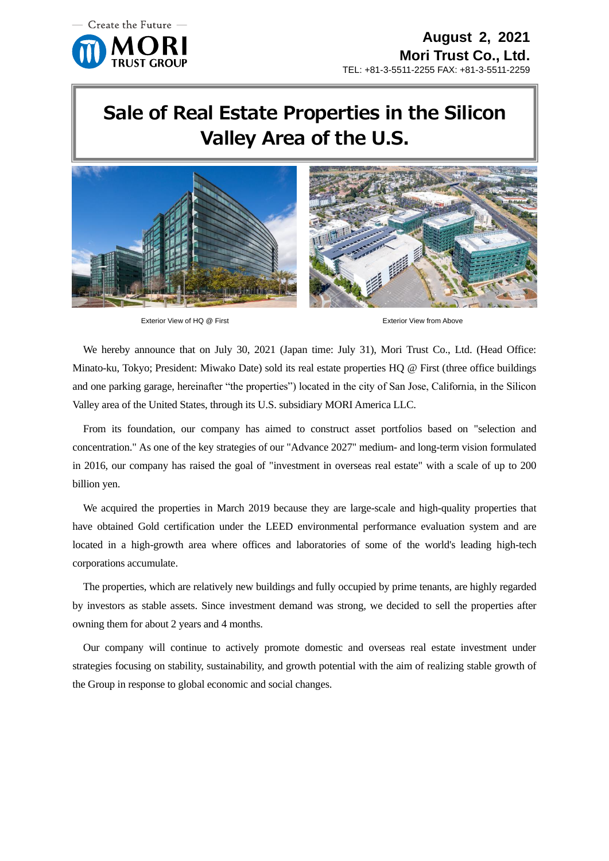

## **Sale of Real Estate Properties in the Silicon Valley Area of the U.S.**





Exterior View of HQ @ First **Exterior View from Above** Exterior View from Above

We hereby announce that on July 30, 2021 (Japan time: July 31), Mori Trust Co., Ltd. (Head Office: Minato-ku, Tokyo; President: Miwako Date) sold its real estate properties HQ @ First (three office buildings and one parking garage, hereinafter "the properties") located in the city of San Jose, California, in the Silicon Valley area of the United States, through its U.S. subsidiary MORI America LLC.

From its foundation, our company has aimed to construct asset portfolios based on "selection and concentration." As one of the key strategies of our "Advance 2027" medium- and long-term vision formulated in 2016, our company has raised the goal of "investment in overseas real estate" with a scale of up to 200 billion yen.

We acquired the properties in March 2019 because they are large-scale and high-quality properties that have obtained Gold certification under the LEED environmental performance evaluation system and are located in a high-growth area where offices and laboratories of some of the world's leading high-tech corporations accumulate.

The properties, which are relatively new buildings and fully occupied by prime tenants, are highly regarded by investors as stable assets. Since investment demand was strong, we decided to sell the properties after owning them for about 2 years and 4 months.

Our company will continue to actively promote domestic and overseas real estate investment under strategies focusing on stability, sustainability, and growth potential with the aim of realizing stable growth of the Group in response to global economic and social changes.